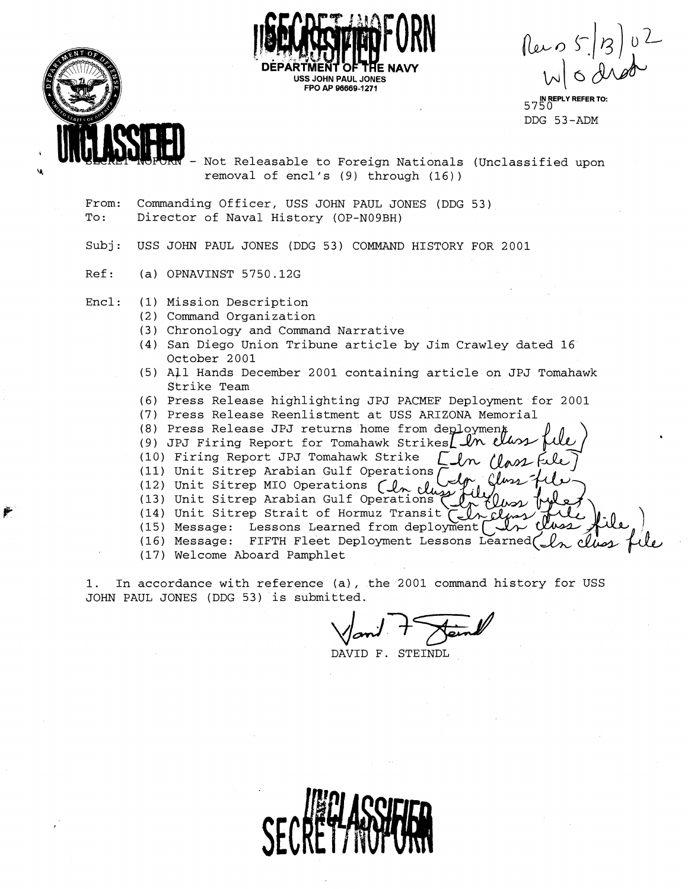

 $\begin{bmatrix} \ln 5.8 \ln 10^{-2} \\ \ln 10.0 \ln 10^{-2} \end{bmatrix}$ 

**IN REPLY REFER TO:**  5750 DDG 53-ADM

Not Releasable to Foreign Nationals (Unclassified upon **\$4** removal of encl's (9) through (16))

- From: Commanding Officer, USS JOHN PAUL JONES (DDG 53) To: Director of Naval History (OP-N09BH)
- Subj: USS JOHN PAUL JONES (DDG 53) COMMAND HISTORY FOR 2001

**USS JOHN PAUL JONES FPO AP 96669-1271** 

Ref: (a) OPNAVINST 5750.12G

Encl: (1) Mission Description

- (2) Command Organization
- (3) Chronology and Command Narrative
- **(4)** San Diego Union Tribune article by Jim Crawley dated 16 October 2001
- (5) All Hands December 2001 containing article on JPJ Tomahawk Strike Team
- (6) Press Release highlighting JPJ PACMEF Deployment for 2001
- (7) Press Release Reenlistment at USS ARIZONA Memorial
- (8) Press Release JPJ returns home from deploymen
- (9) JPJ Firing Report for Tomahawk Strikes In the
- (10) Firing Report JPJ Tomahawk In Class
- (11) Unit Sitrep Arabian Gulf Operations  $\overline{C}$ <br>(12) Unit Sitrep MIO Operations  $\overline{C}$
- 
- (13) Unit Sitrep Arabian Gulf Operations
- **(14)** Unit Sitrep Strait of Hormuz Transit - cl
- (15) Message: Lessons Learned from deployment
- (16) Message: FIFTH Fleet Deployment Lessons Learned
- (17) Welcome Aboard Pamphlet

1. In accordance with reference (a), the 2001 command history for USS JOHN PAUL JONES (DDG 53) is submitted.

tted.<br>Van<sup>1</sup> 7 Jan<sup>1</sup>

DAVID F. STEINDL

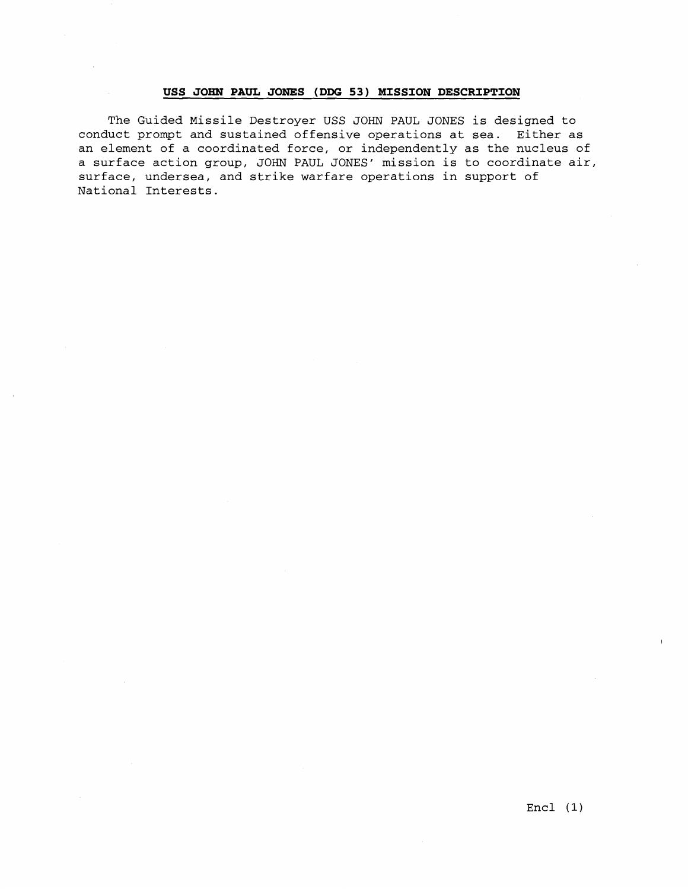### **USS JOHN PAUL JONES (DDG 53) MISSION DESCRIPTION**

The Guided Missile Destroyer USS JOHN PAUL JONES is designed to conduct prompt and sustained offensive operations at sea. Either as an element of a coordinated force, or independently as the nucleus of a surface action group, JOHN PAUL JONES' mission is to coordinate air, surface, undersea, and strike warfare operations in support of National Interests.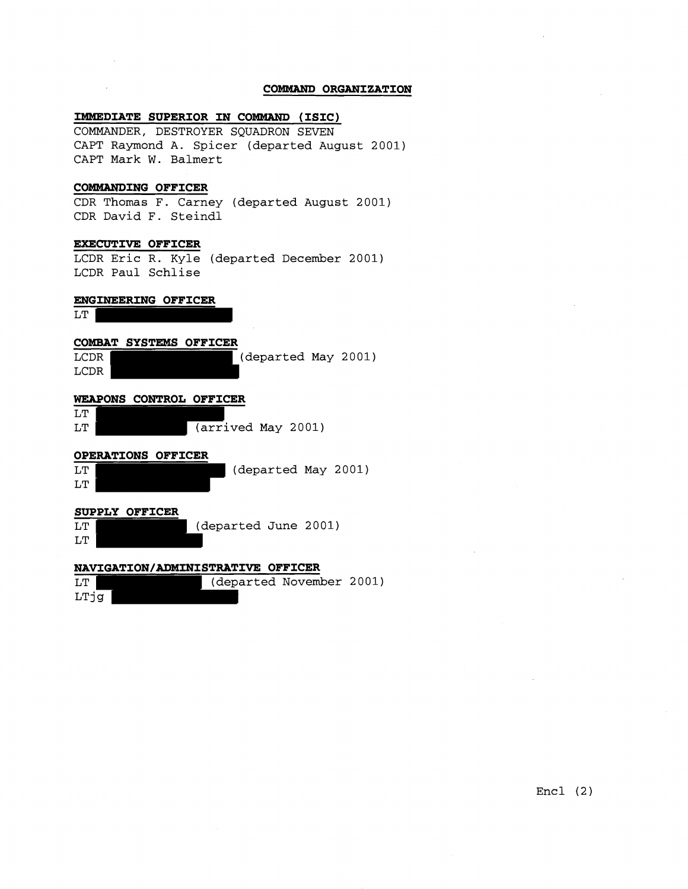### **COMMAND ORGANIZATION**

### **IMMEDIATE SUPERIOR IN COMMAND (ISIC)**

COMMANDER, DESTROYER SQUADRON SEVEN CAPT Raymond A. Spicer (departed August 2001) CAPT Mark W. Balmert

# **COBMANDING OFFICER**

CDR Thomas F. Carney (departed August 2001) CDR David **I?.** Steindl

### **EXECUTIVE OFFICER**

LCDR Eric R. Kyle (departed December 2001) LCDR Paul Schlise

# **ENGINEERING OFFICER**

LT |

LTjg



Encl (2)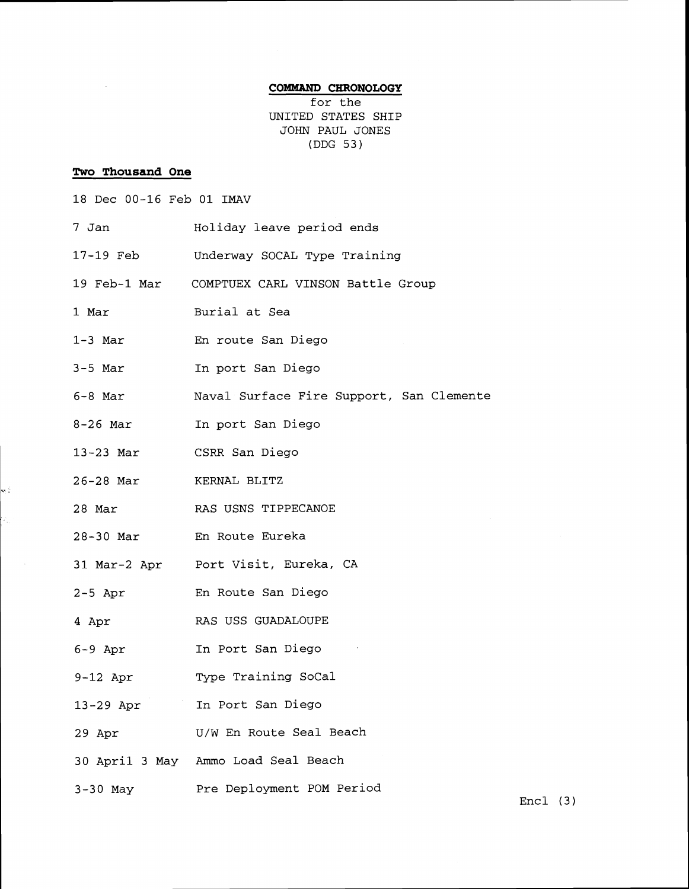# **COMMAND CHRONOLOGY**

for the UNITED STATES SHIP JOHN PAUL JONES (DDG 53)

# **Two Thousand One**

 $\bar{\gamma}$ 

w.

| 18 Dec 00-16 Feb 01 IMAV |  |
|--------------------------|--|
|--------------------------|--|

| 7 Jan      | Holiday leave period ends                      |
|------------|------------------------------------------------|
| 17-19 Feb  | Underway SOCAL Type Training                   |
|            | 19 Feb-1 Mar COMPTUEX CARL VINSON Battle Group |
| 1 Mar      | Burial at Sea                                  |
| $1-3$ Mar  | En route San Diego                             |
| $3-5$ Mar  | In port San Diego                              |
| 6-8 Mar    | Naval Surface Fire Support, San Clemente       |
| $8-26$ Mar | In port San Diego                              |
| 13-23 Mar  | CSRR San Diego                                 |
| 26-28 Mar  | KERNAL BLITZ                                   |
| 28 Mar     | RAS USNS TIPPECANOE                            |
|            | 28-30 Mar En Route Eureka                      |
|            | 31 Mar-2 Apr Port Visit, Eureka, CA            |
| $2-5$ Apr  | En Route San Diego                             |
| 4 Apr      | RAS USS GUADALOUPE                             |
| 6-9 Apr    | In Port San Diego                              |
| 9-12 Apr   | Type Training SoCal                            |
| 13-29 Apr  | In Port San Diego                              |
| 29 Apr     | U/W En Route Seal Beach                        |
|            | 30 April 3 May Ammo Load Seal Beach            |
| $3-30$ May | Pre Deployment POM Period                      |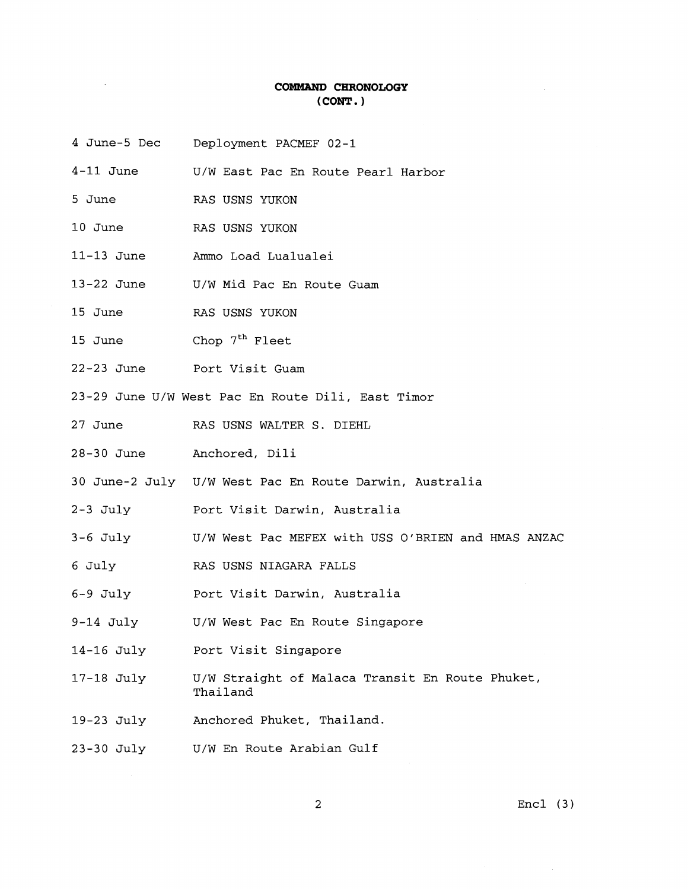# **COMMAND CHRONOLOGY (CONT. 1**

- 4 June-5 Dec Deployment PACMEF 02-1
- 4-11 June U/W East Pac En Route Pearl Harbor
- 5 June RAS USNS YUKON
- 10 June RAS USNS YUKON
- 11-13 June Ammo Load Lualualei
- 13-22 June U/W Mid Pac En Route Guam
- 15 June RAS USNS YUKON
- 15 June  $Chop 7<sup>th</sup> Fleet$
- 22-23 June Port Visit Guam
- 23-29 June U/W West Pac En Route Dili, East Timor
- 27 June RAS USNS WALTER S. DIEHL
- 28-30 June Anchored, Dili
- 30 June-2 July U/W West Pac En Route Darwin, Australia
- 2-3 July Port Visit Darwin, Australia
- 3-6 July U/W West Pac MEFEX with USS O'BRIEN and HMAS ANZAC
- 6 July RAS USNS NIAGARA FALLS
- 6-9 July Port Visit Darwin, Australia
- 9-14 July U/W West Pac En Route Singapore
- 14-16 July Port Visit Singapore
- 17-18 July U/W Straight of Malaca Transit En Route Phuket, **Thailand**
- 19-23 July Anchored Phuket, Thailand.
- 23-30 July U/W En Route Arabian Gulf

 $\overline{2}$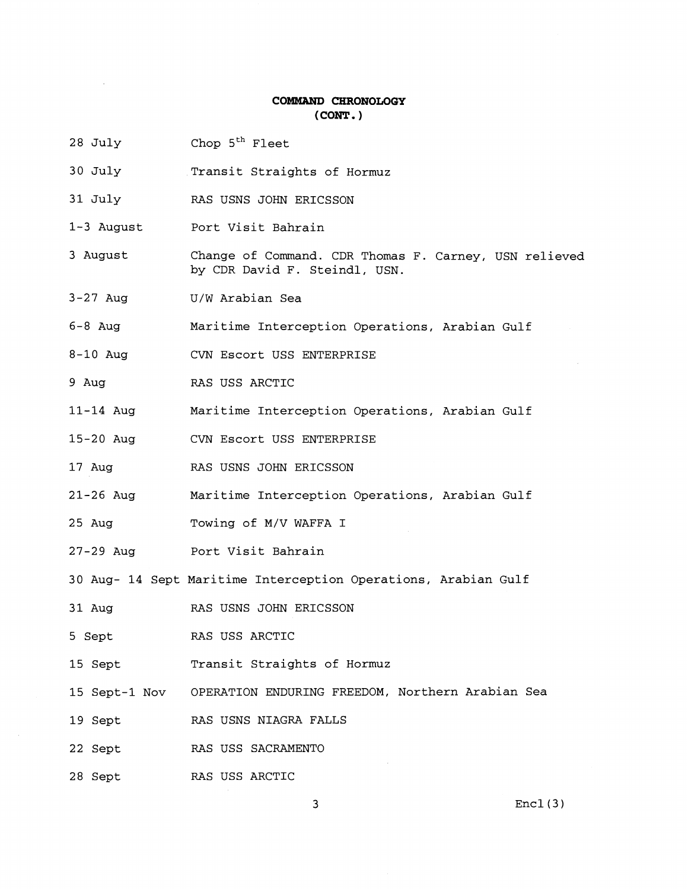### **COMMAND CHRONOLOGY** ( **CONT** . )

- 28 July Chop 5<sup>th</sup> Fleet
- 30 July Transit Straights of Hormuz
- 31 July RAS USNS JOHN ERICSSON
- 1-3 August Port Visit Bahrain
- 3 August Change of Command. CDR Thomas F. Carney, USN relieved by CDR David F. Steindl, USN.
- 3-27 Aug U/W Arabian Sea
- 6-8 Aug Maritime Interception Operations, Arabian Gulf
- 8-10 Aug CVN Escort USS ENTERPRISE
- 9 Aug RAS USS ARCTIC
- 11-14 Aug Maritime Interception Operations, Arabian Gulf
- 15-20 Aug CVN Escort USS ENTERPRISE
- 17 Aug RAS USNS JOHN ERICSSON
- 21-26 Aug Maritime Interception Operations, Arabian Gulf
- 25 Aug Towing of M/V WAFFA I
- 27-29 Aug Port Visit Bahrain

30 Aug- 14 Sept Maritime Interception Operations, Arabian Gulf

- 31 Aug RAS USNS JOHN ERICSSON
- 5 Sept RAS USS ARCTIC
- 15 Sept Transit Straights of Hormuz
- 15 Sept-1 Nov OPERATION ENDURING FREEDOM, Northern Arabian Sea
- 19 Sept RAS USNS NIAGRA FALLS
- 22 Sept RAS USS SACRAMENTO
- 28 Sept RAS USS ARCTIC

3

 $Enc1(3)$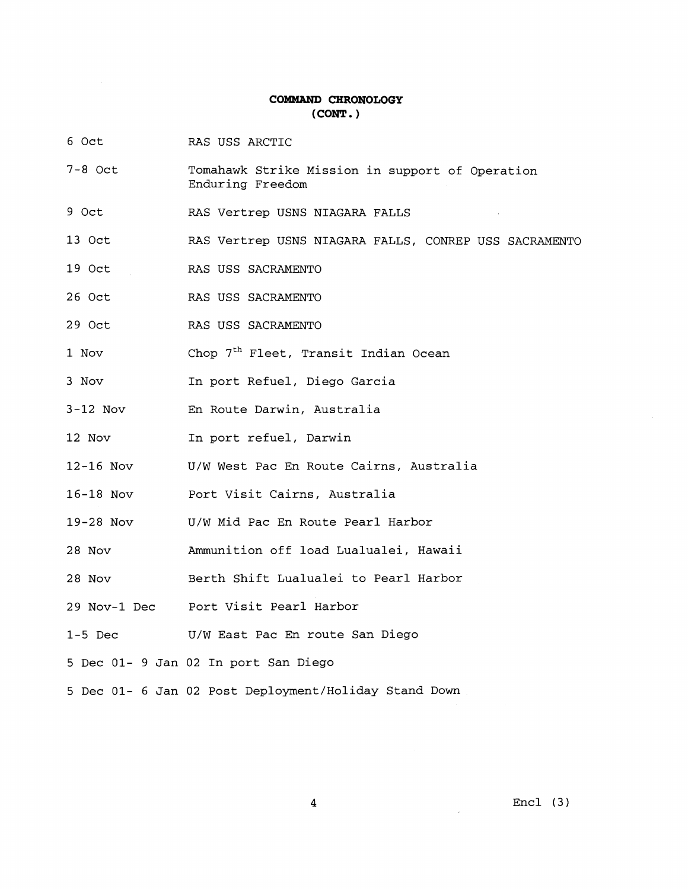# **COMMAND CHRONOLOGY (CONT.** )

- 6 Oct RAS USS ARCTIC
- 7-8 Oct Tomahawk Strike Mission in support of Operation Enduring Freedom
- 9 Oct RAS Vertrep USNS NIAGARA FALLS
- 13 Oct RAS Vertrep USNS NIAGARA FALLS, CONREP USS SACRAMENTO
- 19 Oct RAS USS SACRAMENTO
- 26 Oct RAS USS SACRAMENTO
- 29 Oct RAS USS SACRAMENTO
- 1 Nov Chop 7<sup>th</sup> Fleet, Transit Indian Ocean
- 3 Nov In port Refuel, Diego Garcia
- 3-12 Nov En Route Darwin, Australia
- 12 Nov In port refuel, Darwin
- 12-16 Nov U/W West Pac En Route Cairns, Australia
- 16-18 NOV Port Visit Cairns, Australia
- 19-28 Nov U/W Mid Pac En Route Pearl Harbor
- 28 Nov Ammunition off load Lualualei, Hawaii
- 28 Nov Berth Shift Lualualei to Pearl Harbor
- 29 Nov-1 Dec Port Visit Pearl Harbor
- 1-5 Dec U/W East Pac En route San Diego
- 5 Dec 01- 9 Jan 02 In port San Diego
- 5 Dec 01- 6 Jan 02 Post Deployment/Holiday Stand Down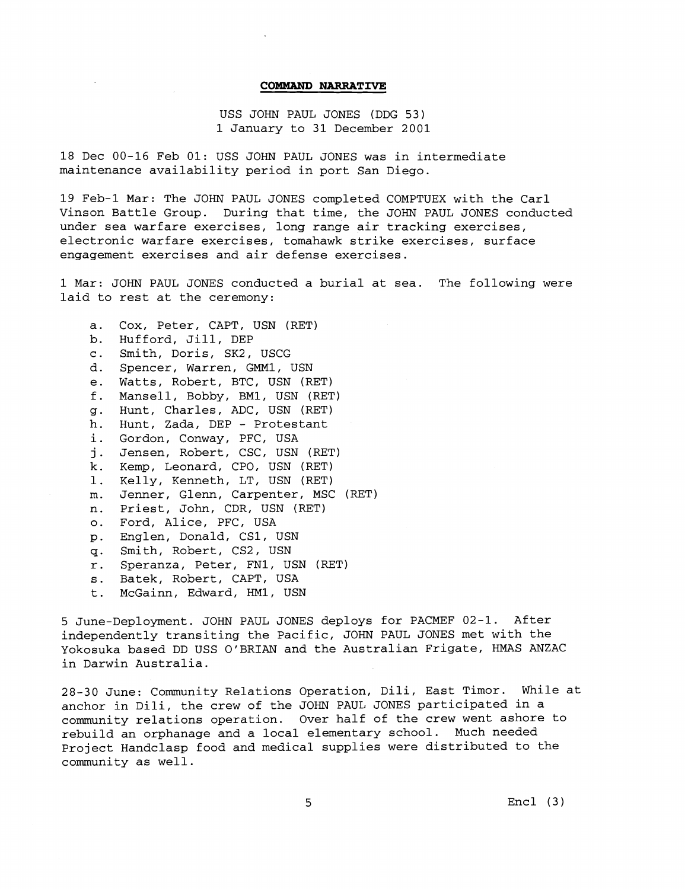#### **COMMAND NARRATIVE**

USS JOHN PAUL JONES (DDG 53) 1 January to 31 December 2001

18 Dec 00-16 Feb 01: USS JOHN PAUL JONES was in intermediate maintenance availability period in port San Diego.

19 Feb-1 Mar: The JOHN PAUL JONES completed COMPTUEX with the Carl Vinson Battle Group. During that time, the JOHN PAUL JONES conducted under sea warfare exercises, long range air tracking exercises, electronic warfare exercises, tomahawk strike exercises, surface engagement exercises and air defense exercises.

1 Mar: JOHN PAUL JONES conducted a burial at sea. The following were laid to rest at the ceremony:

Cox, Peter, CAPT, USN (RET)  $a.$  $b$ . Hufford, Jill, DEP c. Smith, Doris, SK2, USCG Spencer, Warren, GMM1, USN d. e. Watts, Robert, BTC, USN (RET) Mansell, Bobby, BM1, USN (RET) Hunt, Charles, ADC, USN (RET) g. h. Hunt, Zada, DEP - Protestant i. Gordon, Conway, PFC, USA j. Jensen, Robert, CSC, USN (RET) k. Kemp, Leonard, CPO, USN (RET) Kelly, Kenneth, LT, USN (RET)  $1$ . Jenner, Glenn, Carpenter, MSC (RET) n. Priest, John, CDR, USN (RET) Ford, Alice, PFC, USA Englen, Donald, CS1, USN Smith, Robert, CS2, USN  $q<sub>1</sub>$ r. Speranza, Peter, FN1, USN (RET) s. Batek, Robert, CAPT, USA McGainn, Edward, HM1, USN  $t$ .

5 June-Deployment. JOHN PAUL JONES deploys for PACMEF 02-1. After independently transiting the Pacific, JOHN PAUL JONES met with the Yokosuka based DD USS O'BRIAN and the Australian Frigate, HMAS ANZAC in Darwin Australia.

28-30 June: Community Relations Operation, Dili, East Timor. While at anchor in Dili, the crew of the JOHN PAUL JONES participated in a community relations operation. Over half of the crew went ashore to rebuild an orphanage and a local elementary school. Much needed Project Handclasp food and medical supplies were distributed to the community as well.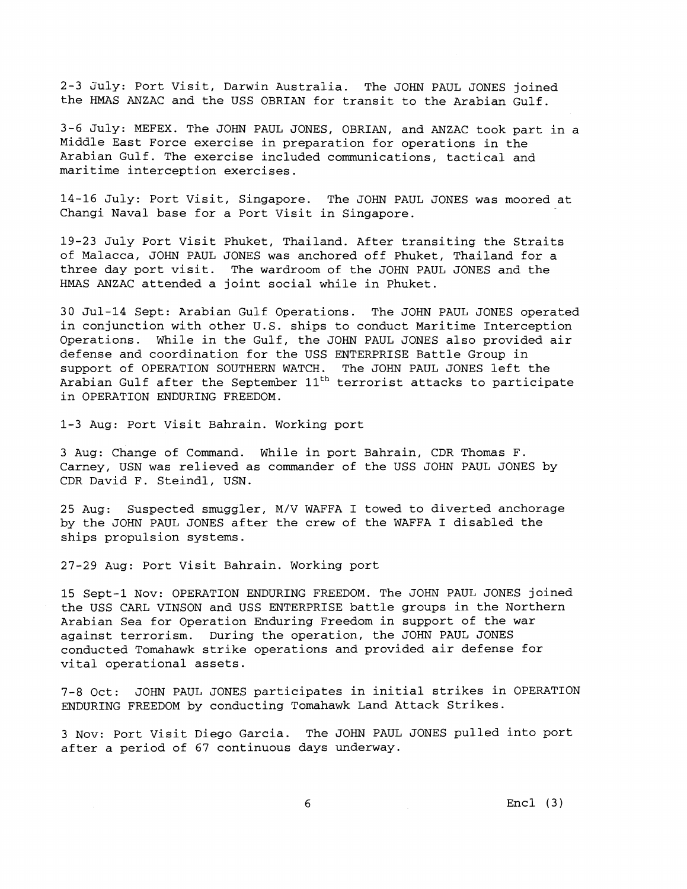2-3 3uly: Port Visit, Darwin Australia. The JOHN PAUL JONES joined the HMAS ANZAC and the USS OBRIAN for transit to the Arabian Gulf.

3-6 July: MEFEX. The JOHN PAUL JONES, OBRIAN, and ANZAC took part in a Middle East Force exercise in preparation for operations in the Arabian Gulf. The exercise included communications, tactical and maritime interception exercises.

14-16 July: Port Visit, Singapore. The JOHN PAUL JONES was moored at Changi Naval base for a Port Visit in Singapore.

19-23 July Port Visit Phuket, Thailand. After transiting the Straits of Malacca, JOHN PAUL JONES was anchored off Phuket, Thailand for a three day port visit. The wardroom of the JOHN PAUL JONES and the HMAS ANZAC attended a joint social while in Phuket.

30 Jul-14 Sept: Arabian Gulf Operations. The JOHN PAUL JONES operated in conjunction with other U.S. ships to conduct Maritime Interception Operations. While in the Gulf, the JOHN PAUL JONES also provided air defense and coordination for the USS ENTERPRISE Battle Group in support of OPERATION SOUTHERN WATCH. The JOHN PAUL JONES left the Arabian Gulf after the September  $11<sup>th</sup>$  terrorist attacks to participate in OPERATION ENDURING FREEDOM.

1-3 Aug: Port Visit Bahrain. Working port

3 Aug: Change of Command. While in port Bahrain, CDR Thomas F. Carney, USN was relieved as commander of the USS JOHN PAUL JONES by CDR David F. Steindl, USN.

25 Aug: Suspected smuggler, M/V WAFFA I towed to diverted anchorage by the JOHN PAUL JONES after the crew of the WAFFA I disabled the ships propulsion systems.

27-29 Aug: Port Visit Bahrain. Working port

15 Sept-1 Nov: OPERATION ENDURING FREEDOM. The JOHN PAUL JONES joined the USS CARL VINSON and USS ENTERPRISE battle groups in the Northern Arabian Sea for Operation Enduring Freedom in support of the war against terrorism. During the operation, the JOHN PAUL JONES conducted Tomahawk strike operations and provided air defense for vital operational assets.

7-8 Oct: JOHN PAUL JONES participates in initial strikes in OPERATION ENDURING FREEDOM by conducting Tomahawk Land Attack Strikes.

3 Nov: Port Visit Diego Garcia. The JOHN PAUL JONES pulled into port after a period of 67 continuous days underway.